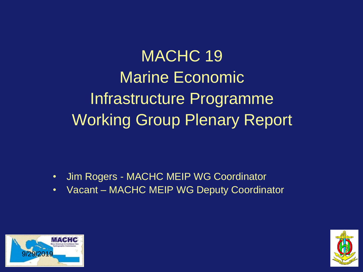MACHC 19 Marine Economic Infrastructure Programme Working Group Plenary Report

- Jim Rogers MACHC MEIP WG Coordinator
- Vacant MACHC MEIP WG Deputy Coordinator



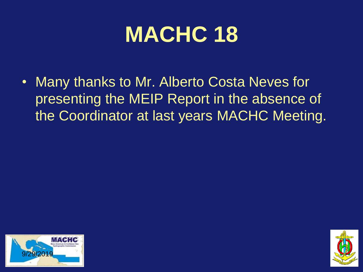#### **MACHC 18**

• Many thanks to Mr. Alberto Costa Neves for presenting the MEIP Report in the absence of the Coordinator at last years MACHC Meeting.



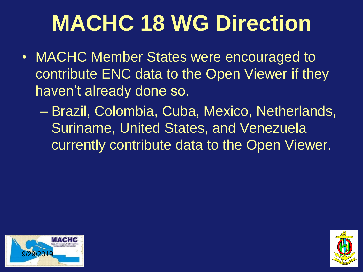## **MACHC 18 WG Direction**

- MACHC Member States were encouraged to contribute ENC data to the Open Viewer if they haven't already done so.
	- Brazil, Colombia, Cuba, Mexico, Netherlands, Suriname, United States, and Venezuela currently contribute data to the Open Viewer.



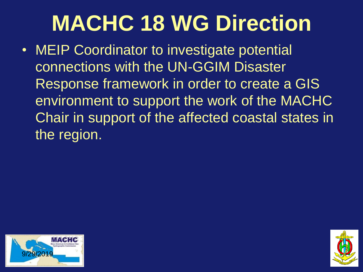### **MACHC 18 WG Direction**

• MEIP Coordinator to investigate potential connections with the UN-GGIM Disaster Response framework in order to create a GIS environment to support the work of the MACHC Chair in support of the affected coastal states in the region.



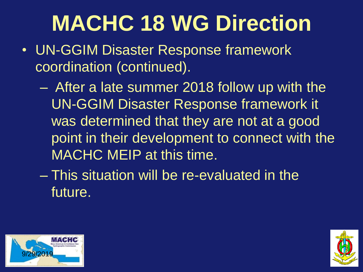## **MACHC 18 WG Direction**

- UN-GGIM Disaster Response framework coordination (continued).
	- After a late summer 2018 follow up with the UN-GGIM Disaster Response framework it was determined that they are not at a good point in their development to connect with the MACHC MEIP at this time.
	- This situation will be re-evaluated in the future.



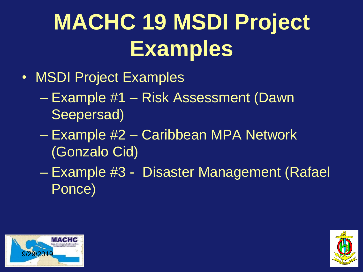# **MACHC 19 MSDI Project Examples**

- MSDI Project Examples
	- Example #1 Risk Assessment (Dawn Seepersad)
	- Example #2 Caribbean MPA Network (Gonzalo Cid)
	- Example #3 Disaster Management (Rafael Ponce)



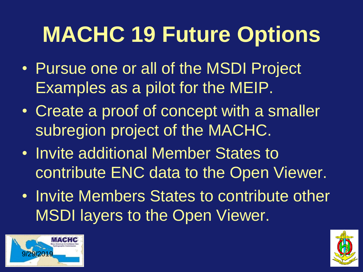# **MACHC 19 Future Options**

- Pursue one or all of the MSDI Project Examples as a pilot for the MEIP.
- Create a proof of concept with a smaller subregion project of the MACHC.
- Invite additional Member States to contribute ENC data to the Open Viewer.
- Invite Members States to contribute other MSDI layers to the Open Viewer.



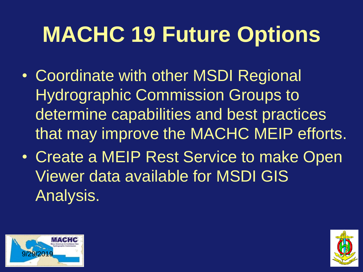# **MACHC 19 Future Options**

- Coordinate with other MSDI Regional Hydrographic Commission Groups to determine capabilities and best practices that may improve the MACHC MEIP efforts.
- Create a MEIP Rest Service to make Open Viewer data available for MSDI GIS Analysis.



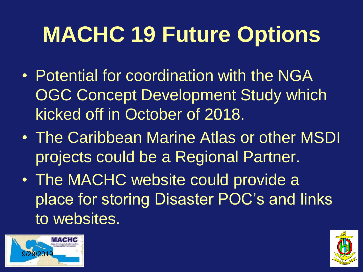# **MACHC 19 Future Options**

- Potential for coordination with the NGA OGC Concept Development Study which kicked off in October of 2018.
- The Caribbean Marine Atlas or other MSDI projects could be a Regional Partner.
- The MACHC website could provide a place for storing Disaster POC's and links to websites.



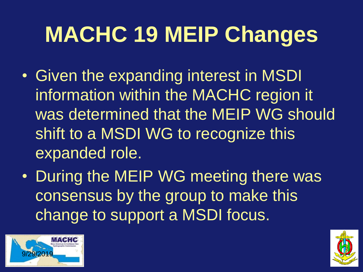# **MACHC 19 MEIP Changes**

- Given the expanding interest in MSDI information within the MACHC region it was determined that the MEIP WG should shift to a MSDI WG to recognize this expanded role.
- During the MEIP WG meeting there was consensus by the group to make this change to support a MSDI focus.



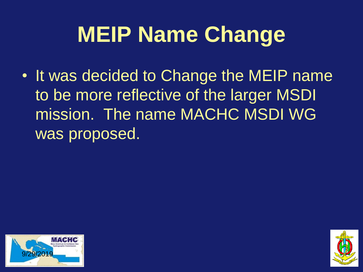### **MEIP Name Change**

• It was decided to Change the MEIP name to be more reflective of the larger MSDI mission. The name MACHC MSDI WG was proposed.



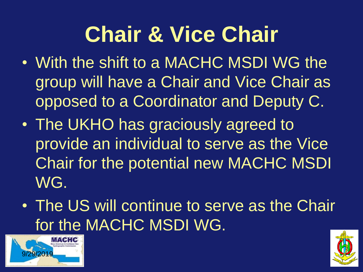### **Chair & Vice Chair**

- With the shift to a MACHC MSDI WG the group will have a Chair and Vice Chair as opposed to a Coordinator and Deputy C.
- The UKHO has graciously agreed to provide an individual to serve as the Vice Chair for the potential new MACHC MSDI WG.
- The US will continue to serve as the Chair for the MACHC MSDI WG.



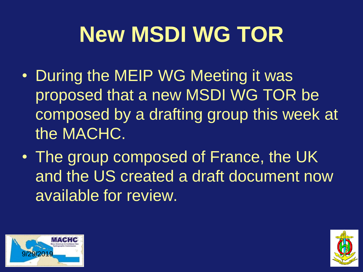# **New MSDI WG TOR**

- During the MEIP WG Meeting it was proposed that a new MSDI WG TOR be composed by a drafting group this week at the MACHC.
- The group composed of France, the UK and the US created a draft document now available for review.



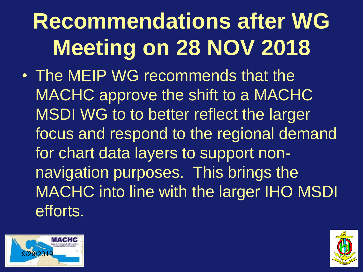# **Recommendations after WG Meeting on 28 NOV 2018**

• The MEIP WG recommends that the MACHC approve the shift to a MACHC MSDI WG to to better reflect the larger focus and respond to the regional demand for chart data layers to support nonnavigation purposes. This brings the MACHC into line with the larger IHO MSDI efforts.



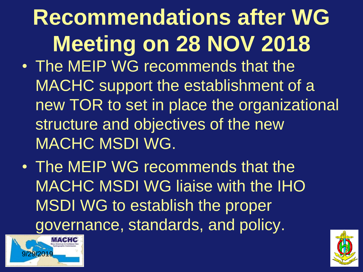# **Recommendations after WG Meeting on 28 NOV 2018** • The MEIP WG recommends that the

- MACHC support the establishment of a new TOR to set in place the organizational structure and objectives of the new MACHC MSDI WG.
- The MEIP WG recommends that the MACHC MSDI WG liaise with the IHO MSDI WG to establish the proper governance, standards, and policy.



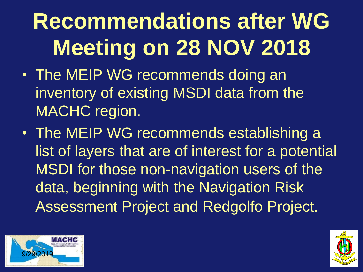# **Recommendations after WG Meeting on 28 NOV 2018**

- The MEIP WG recommends doing an inventory of existing MSDI data from the MACHC region.
- The MEIP WG recommends establishing a list of layers that are of interest for a potential MSDI for those non-navigation users of the data, beginning with the Navigation Risk Assessment Project and Redgolfo Project.



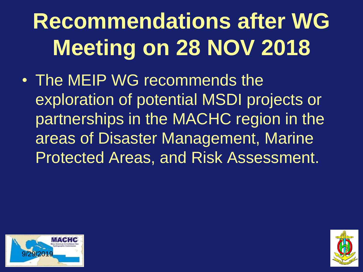# **Recommendations after WG Meeting on 28 NOV 2018**

• The MEIP WG recommends the exploration of potential MSDI projects or partnerships in the MACHC region in the areas of Disaster Management, Marine Protected Areas, and Risk Assessment.



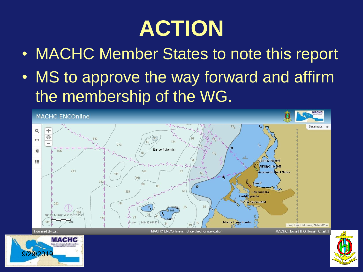# **ACTION**

- MACHC Member States to note this report
- MS to approve the way forward and affirm the membership of the WG.